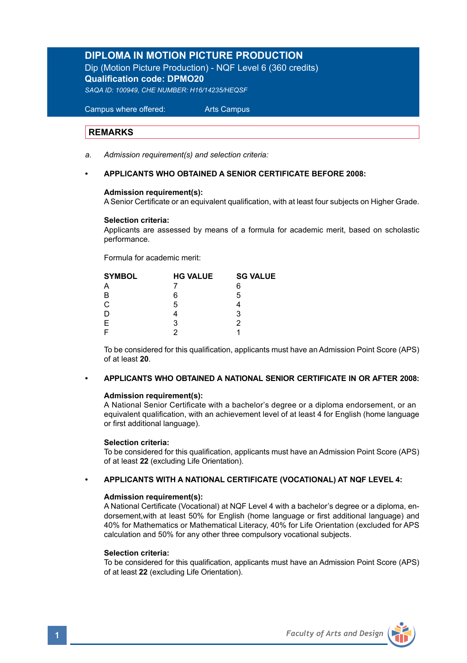# **DIPLOMA IN MOTION PICTURE PRODUCTION**

Dip (Motion Picture Production) - NQF Level 6 (360 credits) **Qualification code: DPMO20**  *SAQA ID: 100949, CHE NUMBER: H16/14235/HEQSF*

 Campus where offered: Arts Campus

# **REMARKS**

Ξ

*a. Admission requirement(s) and selection criteria:* 

### **• APPLICANTS WHO OBTAINED A SENIOR CERTIFICATE BEFORE 2008:**

## **Admission requirement(s):**

A Senior Certificate or an equivalent qualification, with at least four subjects on Higher Grade.

### **Selection criteria:**

Applicants are assessed by means of a formula for academic merit, based on scholastic performance.

Formula for academic merit:

| <b>SYMBOL</b> | <b>HG VALUE</b> | <b>SG VALUE</b> |
|---------------|-----------------|-----------------|
| Α             |                 | 6               |
| B             | 6               | 5               |
| C             | 5               |                 |
| D             |                 | 3               |
| E             | 3               | 2               |
| F             |                 |                 |

 To be considered for this qualification, applicants must have an Admission Point Score (APS) of at least **20**.

# **• APPLICANTS WHO OBTAINED A NATIONAL SENIOR CERTIFICATE IN OR AFTER 2008:**

### **Admission requirement(s):**

A National Senior Certificate with a bachelor's degree or a diploma endorsement, or an equivalent qualification, with an achievement level of at least 4 for English (home language or first additional language).

### **Selection criteria:**

To be considered for this qualification, applicants must have an Admission Point Score (APS) of at least **22** (excluding Life Orientation).

### **• APPLICANTS WITH A NATIONAL CERTIFICATE (VOCATIONAL) AT NQF LEVEL 4:**

# **Admission requirement(s):**

 A National Certificate (Vocational) at NQF Level 4 with a bachelor's degree or a diploma, en dorsement,with at least 50% for English (home language or first additional language) and 40% for Mathematics or Mathematical Literacy, 40% for Life Orientation (excluded for APS calculation and 50% for any other three compulsory vocational subjects.

# **Selection criteria:**

To be considered for this qualification, applicants must have an Admission Point Score (APS) of at least **22** (excluding Life Orientation).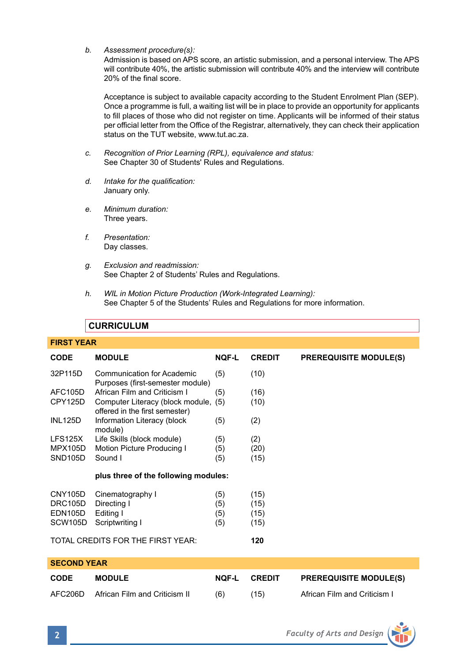*b. Assessment procedure(s):* 

 Admission is based on APS score, an artistic submission, and a personal interview. The APS will contribute 40%, the artistic submission will contribute 40% and the interview will contribute 20% of the final score.

 Acceptance is subject to available capacity according to the Student Enrolment Plan (SEP). Once a programme is full, a waiting list will be in place to provide an opportunity for applicants to fill places of those who did not register on time. Applicants will be informed of their status per official letter from the Office of the Registrar, alternatively, they can check their application status on the TUT website, www.tut.ac.za.

- *c. Recognition of Prior Learning (RPL), equivalence and status:* See Chapter 30 of Students' Rules and Regulations.
- *d. Intake for the qualification:* January only.
- *e. Minimum duration:* Three years.
- *f. Presentation:* Day classes.
- *g. Exclusion and readmission:* See Chapter 2 of Students' Rules and Regulations.
- *h. WIL in Motion Picture Production (Work-Integrated Learning):* See Chapter 5 of the Students' Rules and Regulations for more information.

# **CURRICULUM**

# **FIRST YEAR**

| <b>CODE</b>          | <b>MODULE</b>                                                          | <b>NQF-L</b> | <b>CREDIT</b> | <b>PREREQUISITE MODULE(S)</b> |
|----------------------|------------------------------------------------------------------------|--------------|---------------|-------------------------------|
| 32P115D              | Communication for Academic<br>Purposes (first-semester module)         | (5)          | (10)          |                               |
| AFC105D              | African Film and Criticism I                                           | (5)          | (16)          |                               |
| CPY125D              | Computer Literacy (block module, (5)<br>offered in the first semester) |              | (10)          |                               |
| <b>INL125D</b>       | Information Literacy (block<br>module)                                 | (5)          | (2)           |                               |
| LFS125X              | Life Skills (block module)                                             | (5)          | (2)           |                               |
| <b>MPX105D</b>       | Motion Picture Producing I                                             | (5)          | (20)          |                               |
| <b>SND105D</b>       | Sound I                                                                | (5)          | (15)          |                               |
|                      | plus three of the following modules:                                   |              |               |                               |
| CNY105D              | Cinematography I                                                       | (5)          | (15)          |                               |
| DRC105D              | Directing I                                                            | (5)          | (15)          |                               |
| <b>EDN105D</b>       | Editing I                                                              | (5)          | (15)          |                               |
| SCW <sub>105</sub> D | Scriptwriting I                                                        | (5)          | (15)          |                               |
|                      | TOTAL CREDITS FOR THE FIRST YEAR.                                      |              | 120           |                               |
| <b>SECOND YEAR</b>   |                                                                        |              |               |                               |
| <b>CODE</b>          | <b>MODULE</b>                                                          | <b>NOF-L</b> | <b>CREDIT</b> | <b>PREREQUISITE MODULE(S)</b> |

| AFC206D African Film and Criticism II | (15) | African Film and Criticism I |
|---------------------------------------|------|------------------------------|
|                                       |      |                              |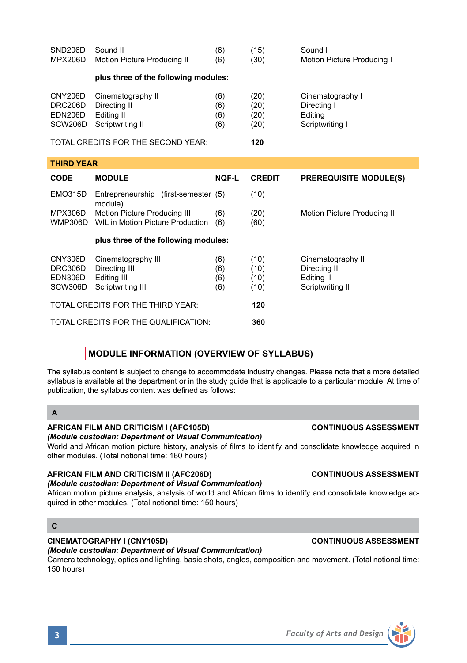| other modules. (Total notional time: 160 hours)                                                                                                                             |                              |
|-----------------------------------------------------------------------------------------------------------------------------------------------------------------------------|------------------------------|
| AFRICAN FILM AND CRITICISM II (AFC206D)<br>(Module custodian: Department of Visual Communication)                                                                           | <b>CONTINUOUS ASSESSMENT</b> |
| African motion picture analysis, analysis of world and African films to identify and consolidate knowledge ac-<br>quired in other modules. (Total notional time: 150 hours) |                              |
|                                                                                                                                                                             |                              |
| CINEMATOGRAPHY I (CNY105D)<br>(Module custodian: Denartment of Visual Communication)                                                                                        | <b>CONTINUOUS ASSESSMENT</b> |

# *(Module custodian: Department of Visual Communication)*

Camera technology, optics and lighting, basic shots, angles, composition and movement. (Total notional time: 150 hours)

# **MODULE INFORMATION (OVERVIEW OF SYLLABUS)**

The syllabus content is subject to change to accommodate industry changes. Please note that a more detailed syllabus is available at the department or in the study guide that is applicable to a particular module. At time of publication, the syllabus content was defined as follows:

# **A**

# **AFRICAN FILM AND CRITICISM I (AFC105D) CONTINUOUS ASSESSMENT**

*(Module custodian: Department of Visual Communication)*

World and African motion picture history, analysis of films to identify and consolidate knowledge acquired in other modules. (Total n

# **AFRICAN FILM AND CRITICISM II (AFC206D) CONTINUOUS ASSESSMENT**

| Faculty of Arts and Design |  |
|----------------------------|--|
|                            |  |



MPX306D Motion Picture Producing III (6) (20) Motion Picture Producing II WMP306D WIL in Motion Picture Production (6) (60)

|                                          | plus three of the following modules:                                    |                          |                              |                                                                     |  |
|------------------------------------------|-------------------------------------------------------------------------|--------------------------|------------------------------|---------------------------------------------------------------------|--|
| CNY306D<br>DRC306D<br>EDN306D<br>SCW306D | Cinematography III<br>Directing III<br>Editing III<br>Scriptwriting III | (6)<br>(6)<br>(6)<br>(6) | (10)<br>(10)<br>(10)<br>(10) | Cinematography II<br>Directing II<br>Editing II<br>Scriptwriting II |  |
|                                          | TOTAL CREDITS FOR THE THIRD YEAR:                                       |                          | 120                          |                                                                     |  |
| TOTAL CREDITS FOR THE QUALIFICATION.     |                                                                         |                          | 360                          |                                                                     |  |

# SND206D Sound II (6) (15) Sound I MPX206D Motion Picture Producing II (6) (30) Motion Picture Producing I **plus three of the following modules:**  CNY206D Cinematography II (6) (20) Cinematography I<br>DRC206D Directing II (6) (20) Directing I DRC206D Directing II (6) (20) Directing I<br>
EDN206D Editing II (6) (20) Editing I EDN206D Editing II (6) (20) Editing I SCW206D Scriptwriting II (6) (20) Scriptwriting I TOTAL CREDITS FOR THE SECOND YEAR: **120 THIRD YEAR CODE MODULE NQF-L CREDIT PREREQUISITE MODULE(S)** EMO315D Entrepreneurship I (first-semester (5) (10) module)

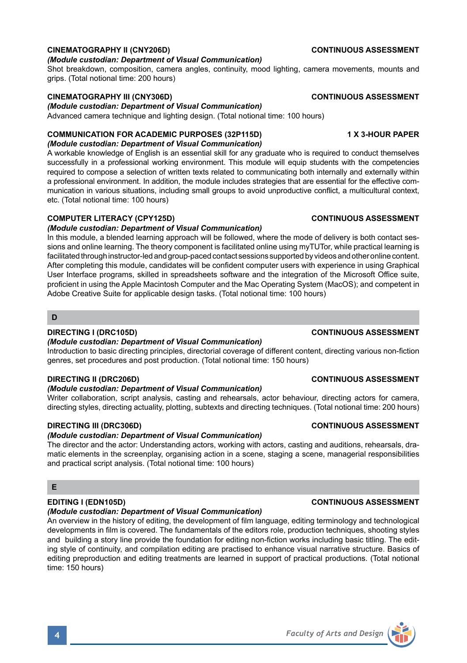# *(Module custodian: Department of Visual Communication)*

Shot breakdown, composition, camera angles, continuity, mood lighting, camera movements, mounts and grips. (Total notional time: 200 hours)

# **CINEMATOGRAPHY III (CNY306D) CONTINUOUS ASSESSMENT**

*(Module custodian: Department of Visual Communication)*

Advanced camera technique and lighting design. (Total notional time: 100 hours)

# **COMMUNICATION FOR ACADEMIC PURPOSES (32P115D) 1 X 3-HOUR PAPER**

# *(Module custodian: Department of Visual Communication)*

A workable knowledge of English is an essential skill for any graduate who is required to conduct themselves successfully in a professional working environment. This module will equip students with the competencies required to compose a selection of written texts related to communicating both internally and externally within a professional environment. In addition, the module includes strategies that are essential for the effective communication in various situations, including small groups to avoid unproductive conflict, a multicultural context, etc. (Total notional time: 100 hours)

# **COMPUTER LITERACY (CPY125D) CONTINUOUS ASSESSMENT**

# *(Module custodian: Department of Visual Communication)*

In this module, a blended learning approach will be followed, where the mode of delivery is both contact sessions and online learning. The theory component is facilitated online using myTUTor, while practical learning is facilitated through instructor-led and group-paced contact sessions supported by videos and other online content. After completing this module, candidates will be confident computer users with experience in using Graphical User Interface programs, skilled in spreadsheets software and the integration of the Microsoft Office suite, proficient in using the Apple Macintosh Computer and the Mac Operating System (MacOS); and competent in Adobe Creative Suite for applicable design tasks. (Total notional time: 100 hours)

# **D**

# **DIRECTING I (DRC105D) CONTINUOUS ASSESSMENT**

# *(Module custodian: Department of Visual Communication)*

Introduction to basic directing principles, directorial coverage of different content, directing various non-fiction genres, set procedures and post production. (Total notional time: 150 hours)

# **DIRECTING II (DRC206D) CONTINUOUS ASSESSMENT**

## *(Module custodian: Department of Visual Communication)*

Writer collaboration, script analysis, casting and rehearsals, actor behaviour, directing actors for camera, directing styles, directing actuality, plotting, subtexts and directing techniques. (Total notional time: 200 hours)

# **DIRECTING III (DRC306D) CONTINUOUS ASSESSMENT**

### *(Module custodian: Department of Visual Communication)*

The director and the actor: Understanding actors, working with actors, casting and auditions, rehearsals, dramatic elements in the screenplay, organising action in a scene, staging a scene, managerial responsibilities and practical script analysis. (Total notional time: 100 hours)

# **E**

# *(Module custodian: Department of Visual Communication)*

An overview in the history of editing, the development of film language, editing terminology and technological developments in film is covered. The fundamentals of the editors role, production techniques, shooting styles and building a story line provide the foundation for editing non-fiction works including basic titling. The editing style of continuity, and compilation editing are practised to enhance visual narrative structure. Basics of editing preproduction and editing treatments are learned in support of practical productions. (Total notional time: 150 hours)

# **EDITING I (EDN105D) CONTINUOUS ASSESSMENT**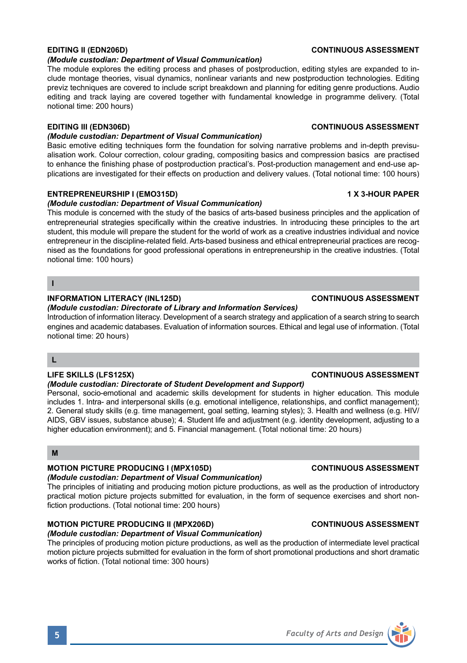## *(Module custodian: Department of Visual Communication)*

The module explores the editing process and phases of postproduction, editing styles are expanded to include montage theories, visual dynamics, nonlinear variants and new postproduction technologies. Editing previz techniques are covered to include script breakdown and planning for editing genre productions. Audio editing and track laying are covered together with fundamental knowledge in programme delivery. (Total notional time: 200 hours)

# **EDITING III (EDN306D) CONTINUOUS ASSESSMENT**

# *(Module custodian: Department of Visual Communication)*

Basic emotive editing techniques form the foundation for solving narrative problems and in-depth previsualisation work. Colour correction, colour grading, compositing basics and compression basics are practised to enhance the finishing phase of postproduction practical's. Post-production management and end-use applications are investigated for their effects on production and delivery values. (Total notional time: 100 hours)

# **ENTREPRENEURSHIP I (EMO315D) 1 X 3-HOUR PAPER**

### *(Module custodian: Department of Visual Communication)*

This module is concerned with the study of the basics of arts-based business principles and the application of entrepreneurial strategies specifically within the creative industries. In introducing these principles to the art student, this module will prepare the student for the world of work as a creative industries individual and novice entrepreneur in the discipline-related field. Arts-based business and ethical entrepreneurial practices are recognised as the foundations for good professional operations in entrepreneurship in the creative industries. (Total notional time: 100 hours)

## **I**

# **INFORMATION LITERACY (INL125D) CONTINUOUS ASSESSMENT**

# *(Module custodian: Directorate of Library and Information Services)*

Introduction of information literacy. Development of a search strategy and application of a search string to search engines and academic databases. Evaluation of information sources. Ethical and legal use of information. (Total notional time: 20 hours)

# **L**

# **LIFE SKILLS (LFS125X) CONTINUOUS ASSESSMENT**

# *(Module custodian: Directorate of Student Development and Support)*

Personal, socio-emotional and academic skills development for students in higher education. This module includes 1. Intra- and interpersonal skills (e.g. emotional intelligence, relationships, and conflict management); 2. General study skills (e.g. time management, goal setting, learning styles); 3. Health and wellness (e.g. HIV/ AIDS, GBV issues, substance abuse); 4. Student life and adjustment (e.g. identity development, adjusting to a higher education environment); and 5. Financial management. (Total notional time: 20 hours)

# **M**

# **MOTION PICTURE PRODUCING I (MPX105D) CONTINUOUS ASSESSMENT**

# *(Module custodian: Department of Visual Communication)*

The principles of initiating and producing motion picture productions, as well as the production of introductory practical motion picture projects submitted for evaluation, in the form of sequence exercises and short nonfiction productions. (Total notional time: 200 hours)

# **MOTION PICTURE PRODUCING II (MPX206D) CONTINUOUS ASSESSMENT**

*(Module custodian: Department of Visual Communication)* The principles of producing motion picture productions, as well as the production of intermediate level practical motion picture projects submitted for evaluation in the form of short promotional productions and short dramatic works of fiction. (Total notional time: 300 hours)

# **EDITING II (EDN206D) CONTINUOUS ASSESSMENT**